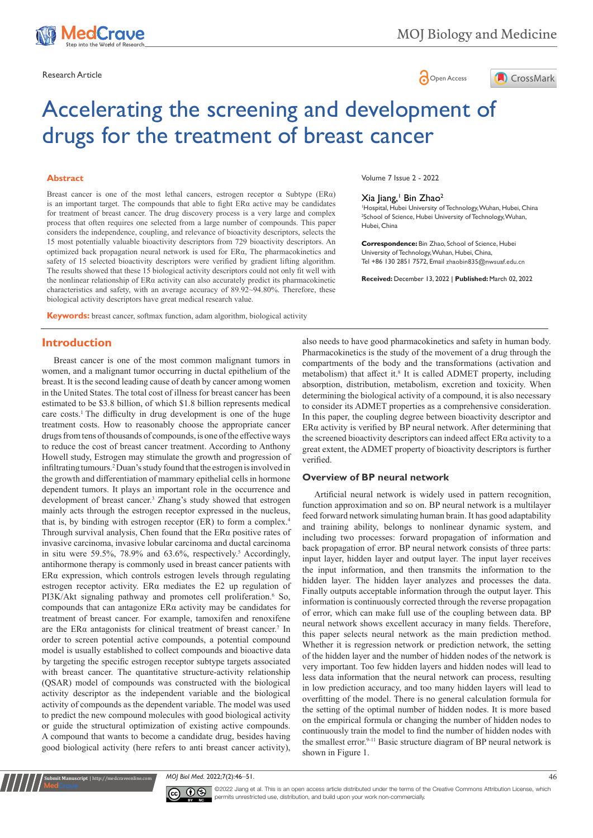



# Accelerating the screening and development of drugs for the treatment of breast cancer

#### **Abstract**

Breast cancer is one of the most lethal cancers, estrogen receptor  $\alpha$  Subtype (ER $\alpha$ ) is an important target. The compounds that able to fight  $ER\alpha$  active may be candidates for treatment of breast cancer. The drug discovery process is a very large and complex process that often requires one selected from a large number of compounds. This paper considers the independence, coupling, and relevance of bioactivity descriptors, selects the 15 most potentially valuable bioactivity descriptors from 729 bioactivity descriptors. An optimized back propagation neural network is used for ERα, The pharmacokinetics and safety of 15 selected bioactivity descriptors were verified by gradient lifting algorithm. The results showed that these 15 biological activity descriptors could not only fit well with the nonlinear relationship of ERα activity can also accurately predict its pharmacokinetic characteristics and safety, with an average accuracy of 89.92~94.80%. Therefore, these biological activity descriptors have great medical research value.

**Keywords:** breast cancer, softmax function, adam algorithm, biological activity

## **Introduction**

Breast cancer is one of the most common malignant tumors in women, and a malignant tumor occurring in ductal epithelium of the breast. It is the second leading cause of death by cancer among women in the United States. The total cost of illness for breast cancer has been estimated to be \$3.8 billion, of which \$1.8 billion represents medical care costs.<sup>1</sup> The difficulty in drug development is one of the huge treatment costs. How to reasonably choose the appropriate cancer drugs from tens of thousands of compounds, is one of the effective ways to reduce the cost of breast cancer treatment. According to Anthony Howell study, Estrogen may stimulate the growth and progression of infiltrating tumours.<sup>2</sup> Duan's study found that the estrogen is involved in the growth and differentiation of mammary epithelial cells in hormone dependent tumors. It plays an important role in the occurrence and development of breast cancer.<sup>3</sup> Zhang's study showed that estrogen mainly acts through the estrogen receptor expressed in the nucleus, that is, by binding with estrogen receptor (ER) to form a complex.4 Through survival analysis, Chen found that the ERα positive rates of invasive carcinoma, invasive lobular carcinoma and ductal carcinoma in situ were 59.5%, 78.9% and 63.6%, respectively.<sup>5</sup> Accordingly, antihormone therapy is commonly used in breast cancer patients with ERα expression, which controls estrogen levels through regulating estrogen receptor activity. ERα mediates the E2 up regulation of PI3K/Akt signaling pathway and promotes cell proliferation.<sup>6</sup> So, compounds that can antagonize ERα activity may be candidates for treatment of breast cancer. For example, tamoxifen and renoxifene are the ER $\alpha$  antagonists for clinical treatment of breast cancer.<sup>7</sup> In order to screen potential active compounds, a potential compound model is usually established to collect compounds and bioactive data by targeting the specific estrogen receptor subtype targets associated with breast cancer. The quantitative structure-activity relationship (QSAR) model of compounds was constructed with the biological activity descriptor as the independent variable and the biological activity of compounds as the dependent variable. The model was used to predict the new compound molecules with good biological activity or guide the structural optimization of existing active compounds. A compound that wants to become a candidate drug, besides having good biological activity (here refers to anti breast cancer activity),

Volume 7 Issue 2 - 2022

#### Xia Jiang, Bin Zhao<sup>2</sup>

1 Hospital, Hubei University of Technology, Wuhan, Hubei, China 2 School of Science, Hubei University of Technology, Wuhan, Hubei, China

**Correspondence:** Bin Zhao, School of Science, Hubei University of Technology, Wuhan, Hubei, China, Tel +86 130 2851 7572, Email zhaobin835@nwsuaf.edu.cn

**Received:** December 13, 2022 | **Published:** March 02, 2022

also needs to have good pharmacokinetics and safety in human body. Pharmacokinetics is the study of the movement of a drug through the compartments of the body and the transformations (activation and metabolism) that affect it.<sup>8</sup> It is called ADMET property, including absorption, distribution, metabolism, excretion and toxicity. When determining the biological activity of a compound, it is also necessary to consider its ADMET properties as a comprehensive consideration. In this paper, the coupling degree between bioactivity descriptor and ERα activity is verified by BP neural network. After determining that the screened bioactivity descriptors can indeed affect ERα activity to a great extent, the ADMET property of bioactivity descriptors is further verified.

## **Overview of BP neural network**

Artificial neural network is widely used in pattern recognition, function approximation and so on. BP neural network is a multilayer feed forward network simulating human brain. It has good adaptability and training ability, belongs to nonlinear dynamic system, and including two processes: forward propagation of information and back propagation of error. BP neural network consists of three parts: input layer, hidden layer and output layer. The input layer receives the input information, and then transmits the information to the hidden layer. The hidden layer analyzes and processes the data. Finally outputs acceptable information through the output layer. This information is continuously corrected through the reverse propagation of error, which can make full use of the coupling between data. BP neural network shows excellent accuracy in many fields. Therefore, this paper selects neural network as the main prediction method. Whether it is regression network or prediction network, the setting of the hidden layer and the number of hidden nodes of the network is very important. Too few hidden layers and hidden nodes will lead to less data information that the neural network can process, resulting in low prediction accuracy, and too many hidden layers will lead to overfitting of the model. There is no general calculation formula for the setting of the optimal number of hidden nodes. It is more based on the empirical formula or changing the number of hidden nodes to continuously train the model to find the number of hidden nodes with the smallest error.<sup>9-11</sup> Basic structure diagram of BP neural network is shown in Figure 1.

*MOJ Biol Med.* 2022;7(2):46‒51. 46



**Nit Manuscript** | http://medcraveonline.c

©2022 Jiang et al. This is an open access article distributed under the terms of the [Creative Commons Attribution License](https://creativecommons.org/licenses/by-nc/4.0/), which permits unrestricted use, distribution, and build upon your work non-commercially.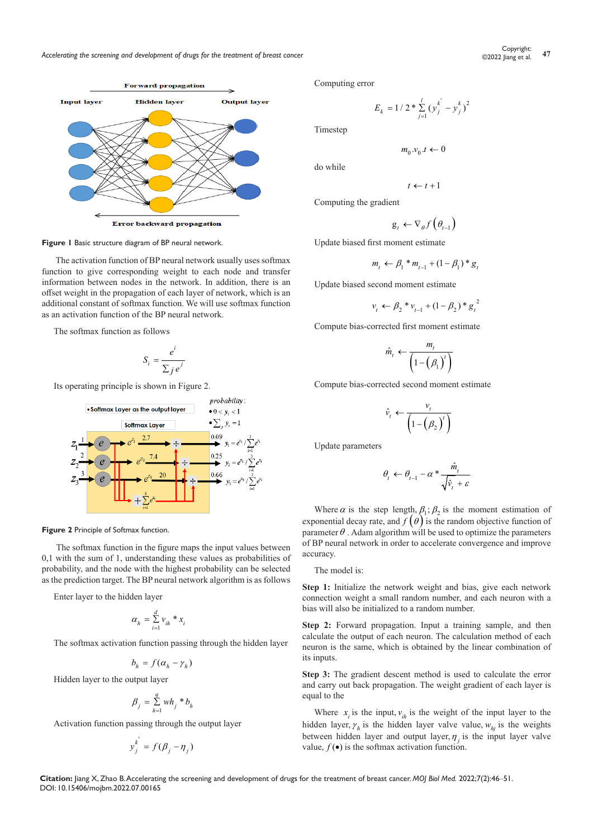

**Figure 1** Basic structure diagram of BP neural network.

The activation function of BP neural network usually uses softmax function to give corresponding weight to each node and transfer information between nodes in the network. In addition, there is an offset weight in the propagation of each layer of network, which is an additional constant of softmax function. We will use softmax function as an activation function of the BP neural network.

The softmax function as follows

$$
S_i = \frac{e^i}{\sum_j e^j}
$$

Its operating principle is shown in Figure 2.



**Figure 2** Principle of Softmax function.

The softmax function in the figure maps the input values between 0,1 with the sum of 1, understanding these values as probabilities of probability, and the node with the highest probability can be selected as the prediction target. The BP neural network algorithm is as follows

Enter layer to the hidden layer

$$
\alpha_h = \sum_{i=1}^d v_{ih} * x_i
$$

The softmax activation function passing through the hidden layer

$$
b_h = f(\alpha_h - \gamma_h)
$$

Hidden layer to the output layer

$$
\beta_j = \sum_{h=1}^q wh_j * b_h
$$

Activation function passing through the output layer

$$
y_j^k = f(\beta_j - \eta_j)
$$

Computing error

$$
E_k = 1 / 2 * \sum_{j=1}^{l} (y_j^{k'} - y_j^{k})^2
$$

Timestep

do while

$$
t \leftarrow t + 1
$$

 $m_0 \, v_0 \, t \leftarrow 0$ 

Computing the gradient

$$
\text{g}_{_t} \leftarrow \nabla_{\theta} f\left(\theta_{_{t-1}}\right)
$$

Update biased first moment estimate

$$
m_t \leftarrow \beta_1 * m_{t-1} + (1 - \beta_1) * g_t
$$

Update biased second moment estimate

$$
v_{t} \leftarrow \beta_{2} * v_{t-1} + (1 - \beta_{2}) * g_{t}^{2}
$$

Compute bias-corrected first moment estimate

$$
\hat{m}_t \leftarrow \frac{m_t}{\left(1-\left(\beta_1\right)^t\right)}
$$

Compute bias-corrected second moment estimate

$$
\hat{v}_t \leftarrow \frac{v_t}{\left(1-\left(\beta_2\right)^t\right)}
$$

Update parameters

$$
\theta_t \leftarrow \theta_{t-1} - \alpha * \frac{\hat{m}_t}{\sqrt{\hat{v}_t + \varepsilon}}
$$

Where  $\alpha$  is the step length,  $\beta_1$ ;  $\beta_2$  is the moment estimation of exponential decay rate, and  $f(\theta)$  is the random objective function of parameter  $\theta$ . Adam algorithm will be used to optimize the parameters of BP neural network in order to accelerate convergence and improve accuracy.

The model is:

**Step 1:** Initialize the network weight and bias, give each network connection weight a small random number, and each neuron with a bias will also be initialized to a random number.

**Step 2:** Forward propagation. Input a training sample, and then calculate the output of each neuron. The calculation method of each neuron is the same, which is obtained by the linear combination of its inputs.

**Step 3:** The gradient descent method is used to calculate the error and carry out back propagation. The weight gradient of each layer is equal to the

Where  $x_i$  is the input,  $v_{ih}$  is the weight of the input layer to the hidden layer,  $\gamma_h$  is the hidden layer valve value,  $w_{hi}$  is the weights between hidden layer and output layer,  $\eta$  is the input layer valve value,  $f(\bullet)$  is the softmax activation function.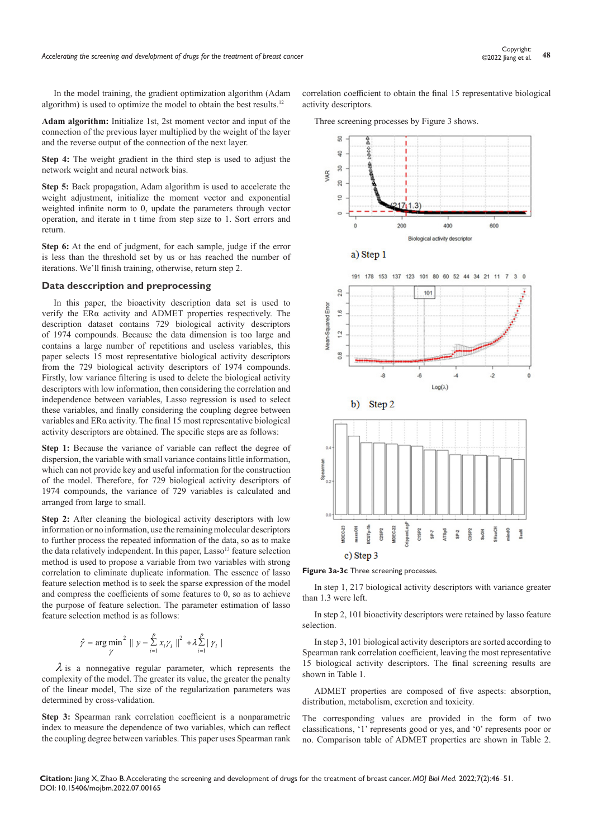In the model training, the gradient optimization algorithm (Adam algorithm) is used to optimize the model to obtain the best results.12

**Adam algorithm:** Initialize 1st, 2st moment vector and input of the connection of the previous layer multiplied by the weight of the layer and the reverse output of the connection of the next layer.

**Step 4:** The weight gradient in the third step is used to adjust the network weight and neural network bias.

**Step 5:** Back propagation, Adam algorithm is used to accelerate the weight adjustment, initialize the moment vector and exponential weighted infinite norm to 0, update the parameters through vector operation, and iterate in t time from step size to 1. Sort errors and return.

**Step 6:** At the end of judgment, for each sample, judge if the error is less than the threshold set by us or has reached the number of iterations. We'll finish training, otherwise, return step 2.

## **Data desccription and preprocessing**

In this paper, the bioactivity description data set is used to verify the ERα activity and ADMET properties respectively. The description dataset contains 729 biological activity descriptors of 1974 compounds. Because the data dimension is too large and contains a large number of repetitions and useless variables, this paper selects 15 most representative biological activity descriptors from the 729 biological activity descriptors of 1974 compounds. Firstly, low variance filtering is used to delete the biological activity descriptors with low information, then considering the correlation and independence between variables, Lasso regression is used to select these variables, and finally considering the coupling degree between variables and ERα activity. The final 15 most representative biological activity descriptors are obtained. The specific steps are as follows:

**Step 1:** Because the variance of variable can reflect the degree of dispersion, the variable with small variance contains little information, which can not provide key and useful information for the construction of the model. Therefore, for 729 biological activity descriptors of 1974 compounds, the variance of 729 variables is calculated and arranged from large to small.

**Step 2:** After cleaning the biological activity descriptors with low information or no information, use the remaining molecular descriptors to further process the repeated information of the data, so as to make the data relatively independent. In this paper, Lasso<sup>13</sup> feature selection method is used to propose a variable from two variables with strong correlation to eliminate duplicate information. The essence of lasso feature selection method is to seek the sparse expression of the model and compress the coefficients of some features to 0, so as to achieve the purpose of feature selection. The parameter estimation of lasso feature selection method is as follows:

$$
\hat{\gamma} = \arg \min_{\gamma}^{2} \parallel y - \sum_{i=1}^{p} x_{i} \gamma_{i} \parallel^{2} + \lambda \sum_{i=1}^{p} |\gamma_{i}|
$$

 $\lambda$  is a nonnegative regular parameter, which represents the complexity of the model. The greater its value, the greater the penalty of the linear model, The size of the regularization parameters was determined by cross-validation.

**Step 3:** Spearman rank correlation coefficient is a nonparametric index to measure the dependence of two variables, which can reflect the coupling degree between variables. This paper uses Spearman rank

correlation coefficient to obtain the final 15 representative biological activity descriptors.

Three screening processes by Figure 3 shows.



**Figure 3a-3c** Three screening processes*.* 

In step 1, 217 biological activity descriptors with variance greater than 1.3 were left.

In step 2, 101 bioactivity descriptors were retained by lasso feature selection.

In step 3, 101 biological activity descriptors are sorted according to Spearman rank correlation coefficient, leaving the most representative 15 biological activity descriptors. The final screening results are shown in Table 1.

ADMET properties are composed of five aspects: absorption, distribution, metabolism, excretion and toxicity.

The corresponding values are provided in the form of two classifications, '1' represents good or yes, and '0' represents poor or no. Comparison table of ADMET properties are shown in Table 2.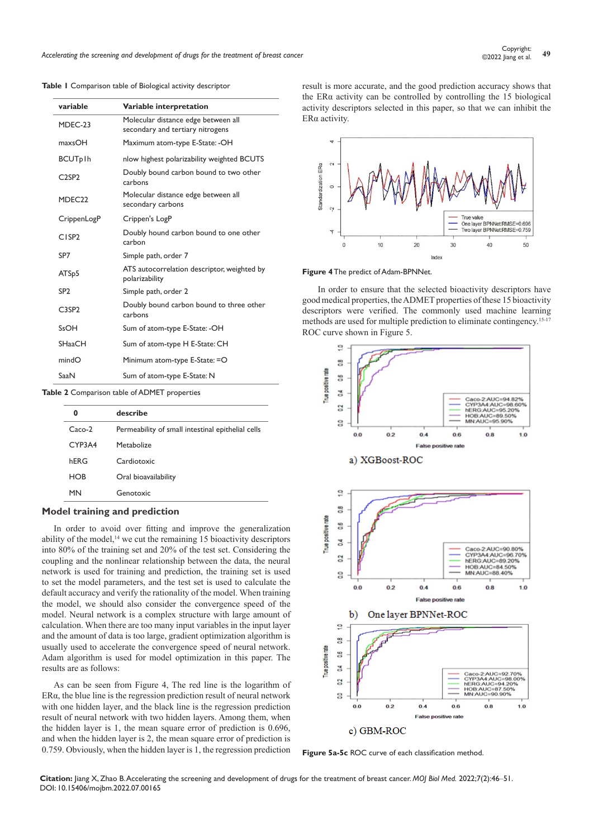*Accelerating the screening and development of drugs for the treatment of breast cancer* **<sup>49</sup>** Copyright:

|  |  | Table I Comparison table of Biological activity descriptor |  |  |  |  |
|--|--|------------------------------------------------------------|--|--|--|--|
|--|--|------------------------------------------------------------|--|--|--|--|

| variable                       | Variable interpretation                                                 |
|--------------------------------|-------------------------------------------------------------------------|
| MDEC-23                        | Molecular distance edge between all<br>secondary and tertiary nitrogens |
| max <sub>OM</sub>              | Maximum atom-type E-State: -OH                                          |
| <b>BCUTplh</b>                 | nlow highest polarizability weighted BCUTS                              |
| C <sub>2</sub> SP <sub>2</sub> | Doubly bound carbon bound to two other<br>carbons                       |
| MDEC <sub>22</sub>             | Molecular distance edge between all<br>secondary carbons                |
| CrippenLogP                    | Crippen's LogP                                                          |
| C <sub>1</sub> SP <sub>2</sub> | Doubly hound carbon bound to one other<br>carbon                        |
| SP7                            | Simple path, order 7                                                    |
| ATS <sub>p</sub> 5             | ATS autocorrelation descriptor, weighted by<br>polarizability           |
| SP <sub>2</sub>                | Simple path, order 2                                                    |
| C <sub>3</sub> SP <sub>2</sub> | Doubly bound carbon bound to three other<br>carbons                     |
| SsOH                           | Sum of atom-type E-State: -OH                                           |
| <b>SHaaCH</b>                  | Sum of atom-type H E-State: CH                                          |
| mindO                          | Minimum atom-type E-State: =O                                           |
| SaaN                           | Sum of atom-type E-State: N                                             |
|                                |                                                                         |

**Table 2** Comparison table of ADMET properties

| 0      | describe                                          |
|--------|---------------------------------------------------|
| Caco-2 | Permeability of small intestinal epithelial cells |
| CYP3A4 | Metabolize                                        |
| hFRG   | Cardiotoxic                                       |
| HOB    | Oral bioavailability                              |
| MN     | Genotoxic                                         |

#### **Model training and prediction**

In order to avoid over fitting and improve the generalization ability of the model, $14$  we cut the remaining 15 bioactivity descriptors into 80% of the training set and 20% of the test set. Considering the coupling and the nonlinear relationship between the data, the neural network is used for training and prediction, the training set is used to set the model parameters, and the test set is used to calculate the default accuracy and verify the rationality of the model. When training the model, we should also consider the convergence speed of the model. Neural network is a complex structure with large amount of calculation. When there are too many input variables in the input layer and the amount of data is too large, gradient optimization algorithm is usually used to accelerate the convergence speed of neural network. Adam algorithm is used for model optimization in this paper. The results are as follows:

As can be seen from Figure 4, The red line is the logarithm of ERα, the blue line is the regression prediction result of neural network with one hidden layer, and the black line is the regression prediction result of neural network with two hidden layers. Among them, when the hidden layer is 1, the mean square error of prediction is 0.696, and when the hidden layer is 2, the mean square error of prediction is 0.759. Obviously, when the hidden layer is 1, the regression prediction

result is more accurate, and the good prediction accuracy shows that the  $ER\alpha$  activity can be controlled by controlling the 15 biological activity descriptors selected in this paper, so that we can inhibit the ERα activity.



#### **Figure 4** The predict of Adam-BPNNet.

In order to ensure that the selected bioactivity descriptors have good medical properties, the ADMET properties of these 15 bioactivity descriptors were verified. The commonly used machine learning methods are used for multiple prediction to eliminate contingency.15-17 ROC curve shown in Figure 5.



**Figure 5a-5c** ROC curve of each classification method.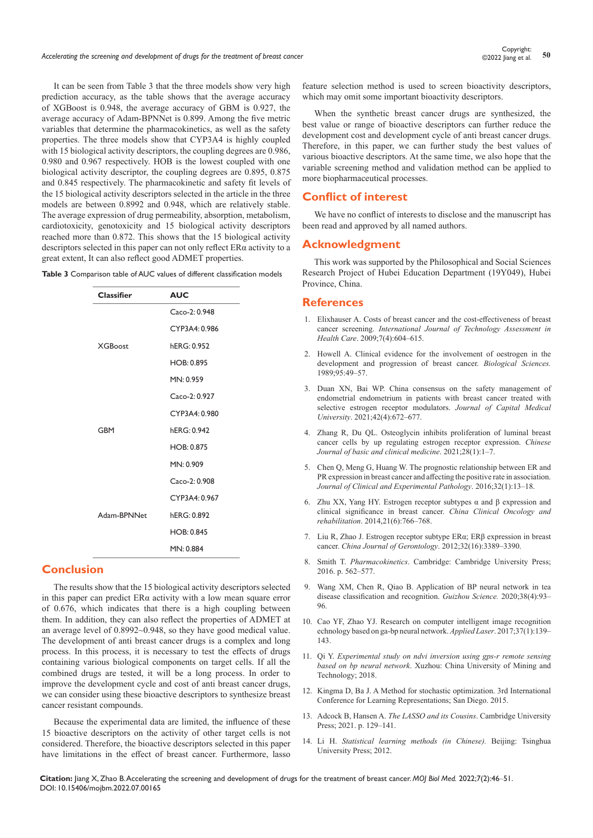It can be seen from Table 3 that the three models show very high prediction accuracy, as the table shows that the average accuracy of XGBoost is 0.948, the average accuracy of GBM is 0.927, the average accuracy of Adam-BPNNet is 0.899. Among the five metric variables that determine the pharmacokinetics, as well as the safety properties. The three models show that CYP3A4 is highly coupled with 15 biological activity descriptors, the coupling degrees are 0.986, 0.980 and 0.967 respectively. HOB is the lowest coupled with one biological activity descriptor, the coupling degrees are 0.895, 0.875 and 0.845 respectively. The pharmacokinetic and safety fit levels of the 15 biological activity descriptors selected in the article in the three models are between 0.8992 and 0.948, which are relatively stable. The average expression of drug permeability, absorption, metabolism, cardiotoxicity, genotoxicity and 15 biological activity descriptors reached more than 0.872. This shows that the 15 biological activity descriptors selected in this paper can not only reflect ERα activity to a great extent, It can also reflect good ADMET properties.

| <b>Classifier</b> | <b>AUC</b>    |
|-------------------|---------------|
|                   | Caco-2: 0.948 |
|                   | CYP3A4: 0.986 |
| <b>XGBoost</b>    | hERG: 0.952   |
|                   | HOB: 0.895    |
|                   | MN: 0.959     |
|                   | Caco-2: 0.927 |
|                   | CYP3A4: 0.980 |
| GBM               | hERG: 0.942   |
|                   | HOB: 0.875    |
|                   | MN: 0.909     |
|                   | Caco-2: 0.908 |
|                   | CYP3A4: 0.967 |
| Adam-BPNNet       | hERG: 0.892   |
|                   | HOB: 0.845    |
|                   | MN: 0.884     |

## **Conclusion**

The results show that the 15 biological activity descriptors selected in this paper can predict  $ER\alpha$  activity with a low mean square error of 0.676, which indicates that there is a high coupling between them. In addition, they can also reflect the properties of ADMET at an average level of 0.8992~0.948, so they have good medical value. The development of anti breast cancer drugs is a complex and long process. In this process, it is necessary to test the effects of drugs containing various biological components on target cells. If all the combined drugs are tested, it will be a long process. In order to improve the development cycle and cost of anti breast cancer drugs, we can consider using these bioactive descriptors to synthesize breast cancer resistant compounds.

Because the experimental data are limited, the influence of these 15 bioactive descriptors on the activity of other target cells is not considered. Therefore, the bioactive descriptors selected in this paper have limitations in the effect of breast cancer. Furthermore, lasso

feature selection method is used to screen bioactivity descriptors, which may omit some important bioactivity descriptors.

When the synthetic breast cancer drugs are synthesized, the best value or range of bioactive descriptors can further reduce the development cost and development cycle of anti breast cancer drugs. Therefore, in this paper, we can further study the best values of various bioactive descriptors. At the same time, we also hope that the variable screening method and validation method can be applied to more biopharmaceutical processes.

## **Conflict of interest**

We have no conflict of interests to disclose and the manuscript has been read and approved by all named authors.

## **Acknowledgment**

This work was supported by the Philosophical and Social Sciences Research Project of Hubei Education Department (19Y049), Hubei Province, China.

#### **References**

- 1. [Elixhauser A. Costs of breast cancer and the cost-effectiveness of breast](https://pubmed.ncbi.nlm.nih.gov/1778705/#:~:text=Mass screening using mammography can,per year of life saved.)  cancer screening. *[International Journal of Technology](https://pubmed.ncbi.nlm.nih.gov/1778705/#:~:text=Mass screening using mammography can,per year of life saved.) Assessment in Health Care*[. 2009;7\(4\):604–615.](https://pubmed.ncbi.nlm.nih.gov/1778705/#:~:text=Mass screening using mammography can,per year of life saved.)
- 2. [Howell A. Clinical evidence for the involvement of oestrogen in the](https://www.cambridge.org/core/journals/proceedings-of-the-royal-society-of-edinburgh-section-b-biological-sciences/article/abs/clinical-evidence-for-the-involvement-of-oestrogen-in-the-development-and-progression-of-breast-cancer/E781B43EC5A0D5FCC210A997B)  [development and progression of breast cancer.](https://www.cambridge.org/core/journals/proceedings-of-the-royal-society-of-edinburgh-section-b-biological-sciences/article/abs/clinical-evidence-for-the-involvement-of-oestrogen-in-the-development-and-progression-of-breast-cancer/E781B43EC5A0D5FCC210A997B) *Biological Sciences.* [1989;95:49–57.](https://www.cambridge.org/core/journals/proceedings-of-the-royal-society-of-edinburgh-section-b-biological-sciences/article/abs/clinical-evidence-for-the-involvement-of-oestrogen-in-the-development-and-progression-of-breast-cancer/E781B43EC5A0D5FCC210A997B)
- 3. Duan XN, Bai WP. China consensus on the safety management of endometrial endometrium in patients with breast cancer treated with selective estrogen receptor modulators. *Journal of Capital Medical University*. 2021;42(4):672–677.
- 4. Zhang R, Du QL. Osteoglycin inhibits proliferation of luminal breast cancer cells by up regulating estrogen receptor expression. *Chinese Journal of basic and clinical medicine*. 2021;28(1):1–7.
- 5. Chen Q, Meng G, Huang W. The prognostic relationship between ER and PR expression in breast cancer and affecting the positive rate in association. *Journal of Clinical and Experimental Pathology*. 2016;32(1):13–18.
- 6. Zhu XX, Yang HY. Estrogen receptor subtypes α and β expression and clinical significance in breast cancer. *China Clinical Oncology and rehabilitation*. 2014,21(6):766–768.
- 7. Liu R, Zhao J. Estrogen receptor subtype ERα; ERβ expression in breast cancer. *China Journal of Gerontology*. 2012;32(16):3389–3390.
- 8. Smith T. *Pharmacokinetics*. Cambridge: Cambridge University Press; 2016. p. 562–577.
- 9. Wang XM, Chen R, Qiao B. Application of BP neural network in tea disease classification and recognition. *Guizhou Science.* 2020;38(4):93– 96.
- 10. Cao YF, Zhao YJ. Research on computer intelligent image recognition echnology based on ga-bp neural network. *Applied Laser*. 2017;37(1):139– 143.
- 11. Qi Y. *Experimental study on ndvi inversion using gps-r remote sensing based on bp neural network*. Xuzhou: China University of Mining and Technology; 2018.
- 12. [Kingma D, Ba J. A Method for stochastic optimization. 3rd International](https://dblp.org/rec/journals/corr/KingmaB14.html)  [Conference for Learning Representations; San Diego. 2015.](https://dblp.org/rec/journals/corr/KingmaB14.html)
- 13. Adcock B, Hansen A. *The LASSO and its Cousins*. Cambridge University Press; 2021. p. 129–141.
- 14. Li H. *[Statistical learning methods \(in Chinese\).](https://www.abebooks.co.uk/Statistical-learning-methods-Hang-.9787302275954-Tsinghua/11912102979/bd)* Beijing: Tsinghua [University Press; 2012.](https://www.abebooks.co.uk/Statistical-learning-methods-Hang-.9787302275954-Tsinghua/11912102979/bd)